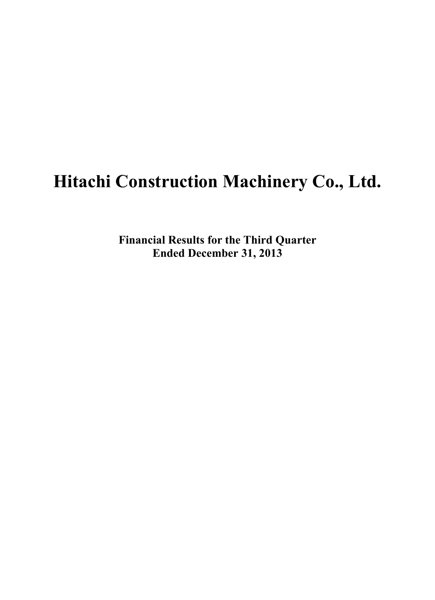# **Hitachi Construction Machinery Co., Ltd.**

**Financial Results for the Third Quarter Ended December 31, 2013**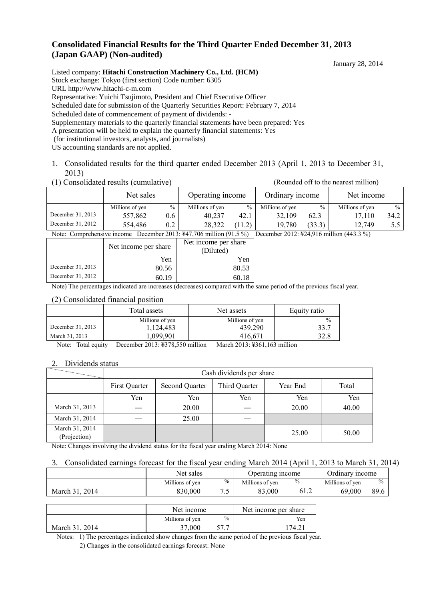# **Consolidated Financial Results for the Third Quarter Ended December 31, 2013 (Japan GAAP) (Non-audited)**

January 28, 2014

Listed company: **Hitachi Construction Machinery Co., Ltd. (HCM)** Stock exchange: Tokyo (first section) Code number: 6305 URL http://www.hitachi-c-m.com Representative: Yuichi Tsujimoto, President and Chief Executive Officer Scheduled date for submission of the Quarterly Securities Report: February 7, 2014 Scheduled date of commencement of payment of dividends: - Supplementary materials to the quarterly financial statements have been prepared: Yes A presentation will be held to explain the quarterly financial statements: Yes (for institutional investors, analysts, and journalists) US accounting standards are not applied.

1. Consolidated results for the third quarter ended December 2013 (April 1, 2013 to December 31, 2013)

(1) Consolidated results (cumulative) (Rounded off to the nearest million)

|                   | Net sales                                                                                                                                                                                                                                                                                          |      | Operating income |               | Ordinary income                                     |        | Net income      |               |
|-------------------|----------------------------------------------------------------------------------------------------------------------------------------------------------------------------------------------------------------------------------------------------------------------------------------------------|------|------------------|---------------|-----------------------------------------------------|--------|-----------------|---------------|
|                   | Millions of yen                                                                                                                                                                                                                                                                                    | $\%$ | Millions of yen  | $\%$          | Millions of yen                                     | $\%$   | Millions of yen | $\frac{0}{0}$ |
| December 31, 2013 | 557,862                                                                                                                                                                                                                                                                                            | 0.6  | 40.237           | 42.1          | 32.109                                              | 62.3   | 17.110          | 34.2          |
| December 31, 2012 | 554.486                                                                                                                                                                                                                                                                                            | 0.2  | 28.322           | $\mathcal{D}$ | 19.780                                              | (33.3) | 12.749          |               |
|                   | $\mathbf{M}$ ( $\mathbf{C}$ ) ( $\mathbf{I}$ ) ( $\mathbf{R}$ ) ( $\mathbf{A}$ ) ( $\mathbf{M}$ ) ( $\mathbf{A}$ ) ( $\mathbf{A}$ ) ( $\mathbf{A}$ ) ( $\mathbf{A}$ ) ( $\mathbf{A}$ ) ( $\mathbf{A}$ ) ( $\mathbf{A}$ ) ( $\mathbf{A}$ ) ( $\mathbf{A}$ ) ( $\mathbf{A}$ ) ( $\mathbf{A}$ ) ( $\$ |      |                  |               | $\mathbb{R}$ 1 0010 $\mathbb{R}$ 1016 111 (440.0.0) |        |                 |               |

Note: Comprehensive income December 2013: ¥47,706 million (91.5 %) December 2012: ¥24,916 million (443.3 %)

|                   | Net income per share | Net income per share<br>(Diluted) |
|-------------------|----------------------|-----------------------------------|
|                   | Yen                  | Yen                               |
| December 31, 2013 | 80.56                | 80.53                             |
| December 31, 2012 | 60.19                | 60.18                             |
|                   | .                    | . .<br>.                          |

Note) The percentages indicated are increases (decreases) compared with the same period of the previous fiscal year.

#### (2) Consolidated financial position

|                   | Total assets    | Net assets      | Equity ratio  |
|-------------------|-----------------|-----------------|---------------|
|                   | Millions of yen | Millions of yen | $\frac{0}{0}$ |
| December 31, 2013 | 1,124,483       | 439.290         | 33.7          |
| March 31, 2013    | .099.901        | 416.671         | 32.8          |

Note: Total equity December 2013: ¥378,550 million March 2013: ¥361,163 million

#### 2. Dividends status

|                                |               |                       | Cash dividends per share |          |       |
|--------------------------------|---------------|-----------------------|--------------------------|----------|-------|
|                                | First Quarter | <b>Second Quarter</b> | Third Quarter            | Year End | Total |
|                                | Yen           | Yen                   | Yen                      | Yen      | Yen   |
| March 31, 2013                 |               | 20.00                 |                          | 20.00    | 40.00 |
| March 31, 2014                 |               | 25.00                 |                          |          |       |
| March 31, 2014<br>(Projection) |               |                       |                          | 25.00    | 50.00 |

Note: Changes involving the dividend status for the fiscal year ending March 2014: None

#### 3. Consolidated earnings forecast for the fiscal year ending March 2014 (April 1, 2013 to March 31, 2014)

|                   | Net sales       |                     | Operating income |               | Ordinary income |               |
|-------------------|-----------------|---------------------|------------------|---------------|-----------------|---------------|
|                   | Millions of ven | $\%$                | Millions of ven  | $\frac{0}{0}$ | Millions of ven | $\frac{0}{0}$ |
| March 31.<br>2014 | 830.000         | $\cdot$ $\check{ }$ | .000<br>റി       | 61.2          | 69.000          | 89.6          |

|                | Net income      |               | Net income per share |
|----------------|-----------------|---------------|----------------------|
|                | Millions of yen | $\frac{0}{0}$ | Yen                  |
| March 31, 2014 | 37.000          |               | 74.21                |

Notes: 1) The percentages indicated show changes from the same period of the previous fiscal year. 2) Changes in the consolidated earnings forecast: None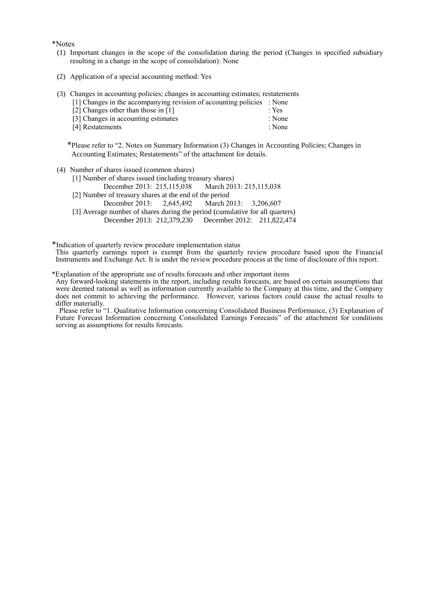\*Notes

- (1) Important changes in the scope of the consolidation during the period (Changes in specified subsidiary resulting in a change in the scope of consolidation): None
- (2) Application of a special accounting method: Yes
- (3) Changes in accounting policies; changes in accounting estimates; restatements
	- [1] Changes in the accompanying revision of accounting policies : None
	- [2] Changes other than those in [1] : Yes
	- [3] Changes in accounting estimates : None<br>
	[4] Restatements : None<br>
	: None
	- [4] Restatements

\*Please refer to "2. Notes on Summary Information (3) Changes in Accounting Policies; Changes in Accounting Estimates; Restatements" of the attachment for details.

- (4) Number of shares issued (common shares)
	-

[1] Number of shares issued (including treasury shares)<br>December 2013: 215.115.038 March 2013: 215.115.038 December 2013: 215,115,038

- [2] Number of treasury shares at the end of the period
	- December 2013: 2,645,492 March 2013: 3,206,607
- [3] Average number of shares during the period (cumulative for all quarters) December 2013: 212,379,230 December 2012: 211,822,474
	-

\*Indication of quarterly review procedure implementation status

This quarterly earnings report is exempt from the quarterly review procedure based upon the Financial Instruments and Exchange Act. It is under the review procedure process at the time of disclosure of this report.

\*Explanation of the appropriate use of results forecasts and other important items

Any forward-looking statements in the report, including results forecasts, are based on certain assumptions that were deemed rational as well as information currently available to the Company at this time, and the Company does not commit to achieving the performance. However, various factors could cause the actual results to differ materially.

Please refer to "1. Qualitative Information concerning Consolidated Business Performance, (3) Explanation of Future Forecast Information concerning Consolidated Earnings Forecasts" of the attachment for conditions serving as assumptions for results forecasts.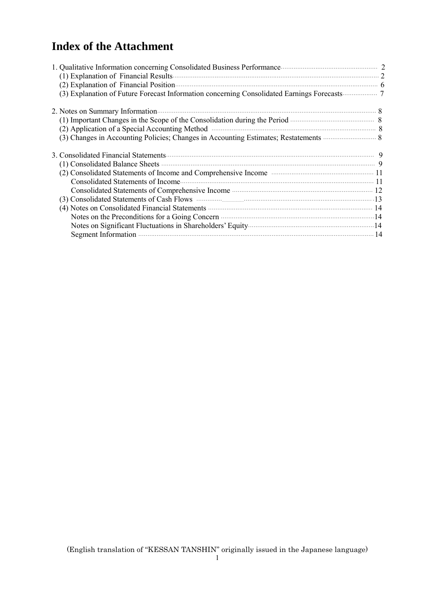# **Index of the Attachment**

| (2) Explanation of Financial Position (2) Explanation of Financial Position (3)<br>(3) Explanation of Future Forecast Information concerning Consolidated Earnings Forecasts 7 |  |
|--------------------------------------------------------------------------------------------------------------------------------------------------------------------------------|--|
|                                                                                                                                                                                |  |
| (1) Important Changes in the Scope of the Consolidation during the Period <b>Manufacture 10</b> 8                                                                              |  |
| (2) Application of a Special Accounting Method manufactured and supplication of a Special Accounting Method                                                                    |  |
| (3) Changes in Accounting Policies; Changes in Accounting Estimates; Restatements <b>Example 20</b> 8                                                                          |  |
|                                                                                                                                                                                |  |
|                                                                                                                                                                                |  |
| (2) Consolidated Statements of Income and Comprehensive Income manufacturers and 11                                                                                            |  |
|                                                                                                                                                                                |  |
|                                                                                                                                                                                |  |
| (3) Consolidated Statements of Cash Flows <b>Manufacture 123</b> 13                                                                                                            |  |
| (4) Notes on Consolidated Financial Statements (2008) and the statements of the Material Statements (4) Notes on Consolidated Financial Statements (3)                         |  |
| Notes on the Preconditions for a Going Concern <b>Example 20</b> 14                                                                                                            |  |
|                                                                                                                                                                                |  |
|                                                                                                                                                                                |  |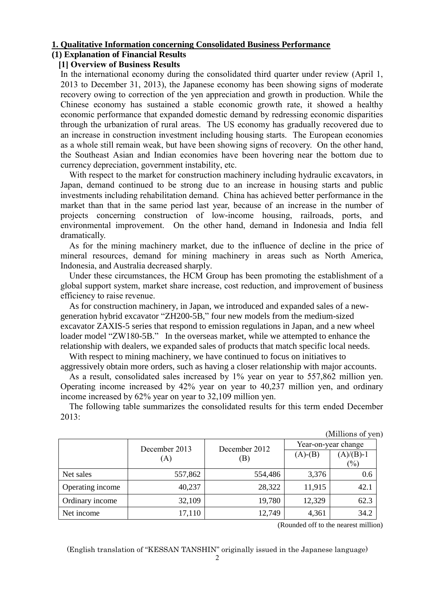## **1. Qualitative Information concerning Consolidated Business Performance**

# **(1) Explanation of Financial Results**

# **[1] Overview of Business Results**

In the international economy during the consolidated third quarter under review (April 1, 2013 to December 31, 2013), the Japanese economy has been showing signs of moderate recovery owing to correction of the yen appreciation and growth in production. While the Chinese economy has sustained a stable economic growth rate, it showed a healthy economic performance that expanded domestic demand by redressing economic disparities through the urbanization of rural areas. The US economy has gradually recovered due to an increase in construction investment including housing starts. The European economies as a whole still remain weak, but have been showing signs of recovery. On the other hand, the Southeast Asian and Indian economies have been hovering near the bottom due to currency depreciation, government instability, etc.

With respect to the market for construction machinery including hydraulic excavators, in Japan, demand continued to be strong due to an increase in housing starts and public investments including rehabilitation demand. China has achieved better performance in the market than that in the same period last year, because of an increase in the number of projects concerning construction of low-income housing, railroads, ports, and environmental improvement. On the other hand, demand in Indonesia and India fell dramatically.

As for the mining machinery market, due to the influence of decline in the price of mineral resources, demand for mining machinery in areas such as North America, Indonesia, and Australia decreased sharply.

Under these circumstances, the HCM Group has been promoting the establishment of a global support system, market share increase, cost reduction, and improvement of business efficiency to raise revenue.

As for construction machinery, in Japan, we introduced and expanded sales of a newgeneration hybrid excavator "ZH200-5B," four new models from the medium-sized excavator ZAXIS-5 series that respond to emission regulations in Japan, and a new wheel loader model "ZW180-5B." In the overseas market, while we attempted to enhance the relationship with dealers, we expanded sales of products that match specific local needs.

With respect to mining machinery, we have continued to focus on initiatives to aggressively obtain more orders, such as having a closer relationship with major accounts.

As a result, consolidated sales increased by 1% year on year to 557,862 million yen. Operating income increased by 42% year on year to 40,237 million yen, and ordinary income increased by 62% year on year to 32,109 million yen.

The following table summarizes the consolidated results for this term ended December 2013:

| (Millions of yen) |  |
|-------------------|--|

|                  | December 2013 | December 2012 |               | Year-on-year change        |
|------------------|---------------|---------------|---------------|----------------------------|
|                  | (A)           | B)            | $(A)$ - $(B)$ | $(A)/(B)-1$                |
|                  |               |               |               | $\left(\frac{0}{0}\right)$ |
| Net sales        | 557,862       | 554,486       | 3,376         | 0.6                        |
| Operating income | 40,237        | 28,322        | 11,915        | 42.1                       |
| Ordinary income  | 32,109        | 19,780        | 12,329        | 62.3                       |
| Net income       | 17,110        | 12,749        | 4,361         | 34.2                       |

(Rounded off to the nearest million)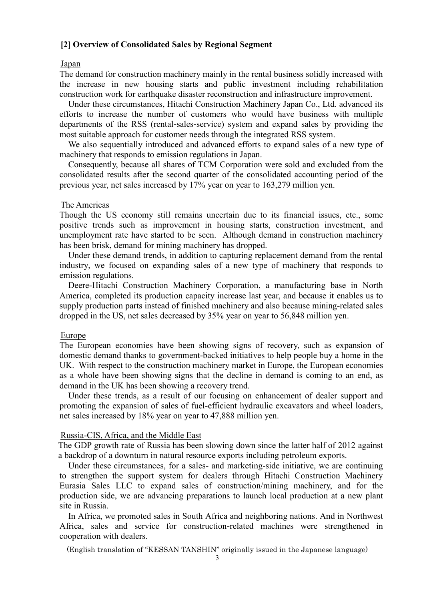## **[2] Overview of Consolidated Sales by Regional Segment**

#### Japan

The demand for construction machinery mainly in the rental business solidly increased with the increase in new housing starts and public investment including rehabilitation construction work for earthquake disaster reconstruction and infrastructure improvement.

Under these circumstances, Hitachi Construction Machinery Japan Co., Ltd. advanced its efforts to increase the number of customers who would have business with multiple departments of the RSS (rental-sales-service) system and expand sales by providing the most suitable approach for customer needs through the integrated RSS system.

We also sequentially introduced and advanced efforts to expand sales of a new type of machinery that responds to emission regulations in Japan.

Consequently, because all shares of TCM Corporation were sold and excluded from the consolidated results after the second quarter of the consolidated accounting period of the previous year, net sales increased by 17% year on year to 163,279 million yen.

#### The Americas

Though the US economy still remains uncertain due to its financial issues, etc., some positive trends such as improvement in housing starts, construction investment, and unemployment rate have started to be seen. Although demand in construction machinery has been brisk, demand for mining machinery has dropped.

Under these demand trends, in addition to capturing replacement demand from the rental industry, we focused on expanding sales of a new type of machinery that responds to emission regulations.

Deere-Hitachi Construction Machinery Corporation, a manufacturing base in North America, completed its production capacity increase last year, and because it enables us to supply production parts instead of finished machinery and also because mining-related sales dropped in the US, net sales decreased by 35% year on year to 56,848 million yen.

#### Europe

The European economies have been showing signs of recovery, such as expansion of domestic demand thanks to government-backed initiatives to help people buy a home in the UK. With respect to the construction machinery market in Europe, the European economies as a whole have been showing signs that the decline in demand is coming to an end, as demand in the UK has been showing a recovery trend.

Under these trends, as a result of our focusing on enhancement of dealer support and promoting the expansion of sales of fuel-efficient hydraulic excavators and wheel loaders, net sales increased by 18% year on year to 47,888 million yen.

#### Russia-CIS, Africa, and the Middle East

The GDP growth rate of Russia has been slowing down since the latter half of 2012 against a backdrop of a downturn in natural resource exports including petroleum exports.

Under these circumstances, for a sales- and marketing-side initiative, we are continuing to strengthen the support system for dealers through Hitachi Construction Machinery Eurasia Sales LLC to expand sales of construction/mining machinery, and for the production side, we are advancing preparations to launch local production at a new plant site in Russia.

In Africa, we promoted sales in South Africa and neighboring nations. And in Northwest Africa, sales and service for construction-related machines were strengthened in cooperation with dealers.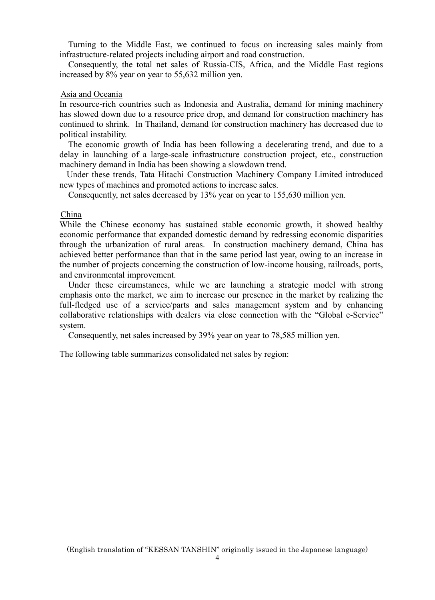Turning to the Middle East, we continued to focus on increasing sales mainly from infrastructure-related projects including airport and road construction.

Consequently, the total net sales of Russia-CIS, Africa, and the Middle East regions increased by 8% year on year to 55,632 million yen.

#### Asia and Oceania

In resource-rich countries such as Indonesia and Australia, demand for mining machinery has slowed down due to a resource price drop, and demand for construction machinery has continued to shrink. In Thailand, demand for construction machinery has decreased due to political instability.

The economic growth of India has been following a decelerating trend, and due to a delay in launching of a large-scale infrastructure construction project, etc., construction machinery demand in India has been showing a slowdown trend.

Under these trends, Tata Hitachi Construction Machinery Company Limited introduced new types of machines and promoted actions to increase sales.

Consequently, net sales decreased by 13% year on year to 155,630 million yen.

China

While the Chinese economy has sustained stable economic growth, it showed healthy economic performance that expanded domestic demand by redressing economic disparities through the urbanization of rural areas. In construction machinery demand, China has achieved better performance than that in the same period last year, owing to an increase in the number of projects concerning the construction of low-income housing, railroads, ports, and environmental improvement.

Under these circumstances, while we are launching a strategic model with strong emphasis onto the market, we aim to increase our presence in the market by realizing the full-fledged use of a service/parts and sales management system and by enhancing collaborative relationships with dealers via close connection with the "Global e-Service" system.

Consequently, net sales increased by 39% year on year to 78,585 million yen.

The following table summarizes consolidated net sales by region: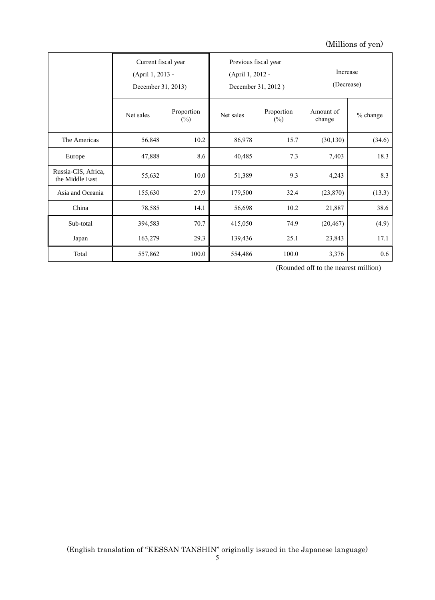# (Millions of yen)

|                                        | Current fiscal year<br>(April 1, 2013 -<br>December 31, 2013) |                      | Previous fiscal year<br>(April 1, 2012 - | December 31, 2012)   | Increase<br>(Decrease) |          |
|----------------------------------------|---------------------------------------------------------------|----------------------|------------------------------------------|----------------------|------------------------|----------|
|                                        | Net sales                                                     | Proportion<br>$(\%)$ | Net sales                                | Proportion<br>$(\%)$ | Amount of<br>change    | % change |
| The Americas                           | 56,848                                                        | 10.2                 | 86,978                                   | 15.7                 | (30, 130)              | (34.6)   |
| Europe                                 | 47,888                                                        | 8.6                  | 40,485                                   | 7.3                  | 7,403                  | 18.3     |
| Russia-CIS, Africa,<br>the Middle East | 55,632                                                        | 10.0                 | 51,389                                   | 9.3                  | 4,243                  | 8.3      |
| Asia and Oceania                       | 155,630                                                       | 27.9                 | 179,500                                  | 32.4                 | (23, 870)              | (13.3)   |
| China                                  | 78,585                                                        | 14.1                 | 56,698                                   | 10.2                 | 21,887                 | 38.6     |
| Sub-total                              | 394,583                                                       | 70.7                 | 415,050                                  | 74.9                 | (20, 467)              | (4.9)    |
| Japan                                  | 163,279                                                       | 29.3                 | 139,436                                  | 25.1                 | 23,843                 | 17.1     |
| Total                                  | 557,862                                                       | 100.0                | 554,486                                  | 100.0                | 3,376                  | 0.6      |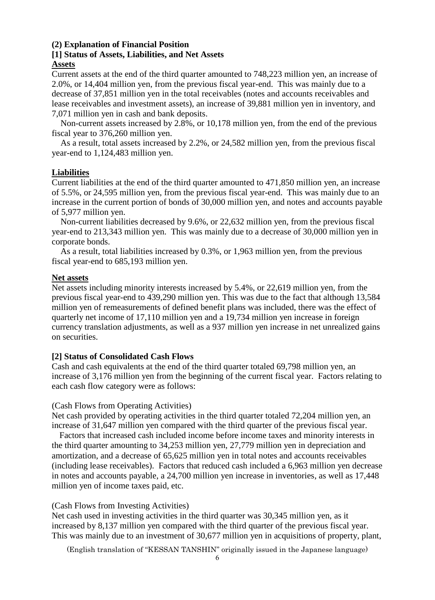#### **(2) Explanation of Financial Position**

#### **[1] Status of Assets, Liabilities, and Net Assets Assets**

Current assets at the end of the third quarter amounted to 748,223 million yen, an increase of 2.0%, or 14,404 million yen, from the previous fiscal year-end. This was mainly due to a decrease of 37,851 million yen in the total receivables (notes and accounts receivables and lease receivables and investment assets), an increase of 39,881 million yen in inventory, and 7,071 million yen in cash and bank deposits.

Non-current assets increased by 2.8%, or 10,178 million yen, from the end of the previous fiscal year to 376,260 million yen.

As a result, total assets increased by 2.2%, or 24,582 million yen, from the previous fiscal year-end to 1,124,483 million yen.

# **Liabilities**

Current liabilities at the end of the third quarter amounted to 471,850 million yen, an increase of 5.5%, or 24,595 million yen, from the previous fiscal year-end. This was mainly due to an increase in the current portion of bonds of 30,000 million yen, and notes and accounts payable of 5,977 million yen.

Non-current liabilities decreased by 9.6%, or 22,632 million yen, from the previous fiscal year-end to 213,343 million yen. This was mainly due to a decrease of 30,000 million yen in corporate bonds.

As a result, total liabilities increased by 0.3%, or 1,963 million yen, from the previous fiscal year-end to 685,193 million yen.

# **Net assets**

Net assets including minority interests increased by 5.4%, or 22,619 million yen, from the previous fiscal year-end to 439,290 million yen. This was due to the fact that although 13,584 million yen of remeasurements of defined benefit plans was included, there was the effect of quarterly net income of 17,110 million yen and a 19,734 million yen increase in foreign currency translation adjustments, as well as a 937 million yen increase in net unrealized gains on securities.

# **[2] Status of Consolidated Cash Flows**

Cash and cash equivalents at the end of the third quarter totaled 69,798 million yen, an increase of 3,176 million yen from the beginning of the current fiscal year. Factors relating to each cash flow category were as follows:

#### (Cash Flows from Operating Activities)

Net cash provided by operating activities in the third quarter totaled 72,204 million yen, an increase of 31,647 million yen compared with the third quarter of the previous fiscal year.

 Factors that increased cash included income before income taxes and minority interests in the third quarter amounting to 34,253 million yen, 27,779 million yen in depreciation and amortization, and a decrease of 65,625 million yen in total notes and accounts receivables (including lease receivables). Factors that reduced cash included a 6,963 million yen decrease in notes and accounts payable, a 24,700 million yen increase in inventories, as well as 17,448 million yen of income taxes paid, etc.

#### (Cash Flows from Investing Activities)

Net cash used in investing activities in the third quarter was 30,345 million yen, as it increased by 8,137 million yen compared with the third quarter of the previous fiscal year. This was mainly due to an investment of 30,677 million yen in acquisitions of property, plant,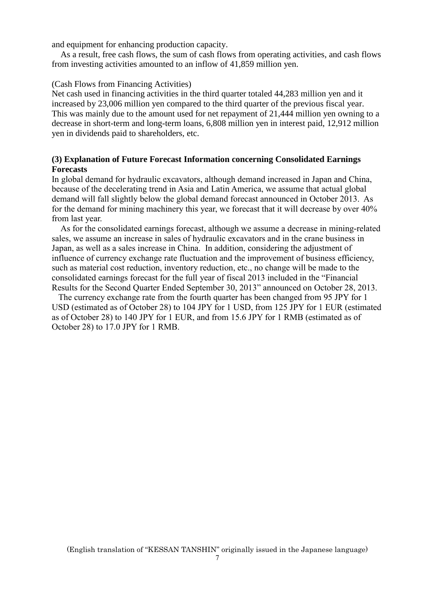and equipment for enhancing production capacity.

As a result, free cash flows, the sum of cash flows from operating activities, and cash flows from investing activities amounted to an inflow of 41,859 million yen.

#### (Cash Flows from Financing Activities)

Net cash used in financing activities in the third quarter totaled 44,283 million yen and it increased by 23,006 million yen compared to the third quarter of the previous fiscal year. This was mainly due to the amount used for net repayment of 21,444 million yen owning to a decrease in short-term and long-term loans, 6,808 million yen in interest paid, 12,912 million yen in dividends paid to shareholders, etc.

## **(3) Explanation of Future Forecast Information concerning Consolidated Earnings Forecasts**

In global demand for hydraulic excavators, although demand increased in Japan and China, because of the decelerating trend in Asia and Latin America, we assume that actual global demand will fall slightly below the global demand forecast announced in October 2013. As for the demand for mining machinery this year, we forecast that it will decrease by over 40% from last year.

 As for the consolidated earnings forecast, although we assume a decrease in mining-related sales, we assume an increase in sales of hydraulic excavators and in the crane business in Japan, as well as a sales increase in China. In addition, considering the adjustment of influence of currency exchange rate fluctuation and the improvement of business efficiency, such as material cost reduction, inventory reduction, etc., no change will be made to the consolidated earnings forecast for the full year of fiscal 2013 included in the "Financial Results for the Second Quarter Ended September 30, 2013" announced on October 28, 2013.

The currency exchange rate from the fourth quarter has been changed from 95 JPY for 1 USD (estimated as of October 28) to 104 JPY for 1 USD, from 125 JPY for 1 EUR (estimated as of October 28) to 140 JPY for 1 EUR, and from 15.6 JPY for 1 RMB (estimated as of October 28) to 17.0 JPY for 1 RMB.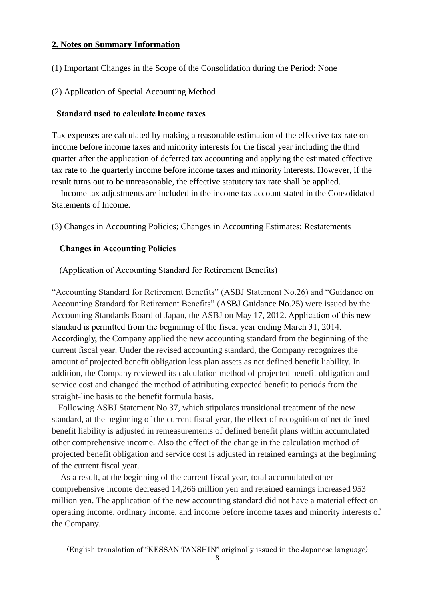# **2. Notes on Summary Information**

- (1) Important Changes in the Scope of the Consolidation during the Period: None
- (2) Application of Special Accounting Method

#### **Standard used to calculate income taxes**

Tax expenses are calculated by making a reasonable estimation of the effective tax rate on income before income taxes and minority interests for the fiscal year including the third quarter after the application of deferred tax accounting and applying the estimated effective tax rate to the quarterly income before income taxes and minority interests. However, if the result turns out to be unreasonable, the effective statutory tax rate shall be applied.

Income tax adjustments are included in the income tax account stated in the Consolidated Statements of Income.

(3) Changes in Accounting Policies; Changes in Accounting Estimates; Restatements

# **Changes in Accounting Policies**

(Application of Accounting Standard for Retirement Benefits)

"Accounting Standard for Retirement Benefits" (ASBJ Statement No.26) and "Guidance on Accounting Standard for Retirement Benefits" (ASBJ Guidance No.25) were issued by the Accounting Standards Board of Japan, the ASBJ on May 17, 2012. Application of this new standard is permitted from the beginning of the fiscal year ending March 31, 2014. Accordingly, the Company applied the new accounting standard from the beginning of the current fiscal year. Under the revised accounting standard, the Company recognizes the amount of projected benefit obligation less plan assets as net defined benefit liability. In addition, the Company reviewed its calculation method of projected benefit obligation and service cost and changed the method of attributing expected benefit to periods from the straight-line basis to the benefit formula basis.

 Following ASBJ Statement No.37, which stipulates transitional treatment of the new standard, at the beginning of the current fiscal year, the effect of recognition of net defined benefit liability is adjusted in remeasurements of defined benefit plans within accumulated other comprehensive income. Also the effect of the change in the calculation method of projected benefit obligation and service cost is adjusted in retained earnings at the beginning of the current fiscal year.

As a result, at the beginning of the current fiscal year, total accumulated other comprehensive income decreased 14,266 million yen and retained earnings increased 953 million yen. The application of the new accounting standard did not have a material effect on operating income, ordinary income, and income before income taxes and minority interests of the Company.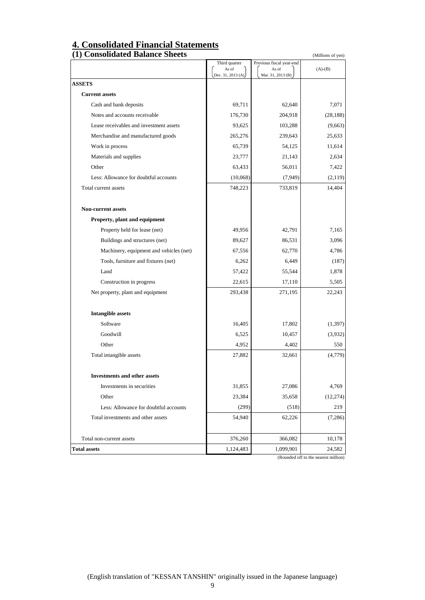# **4. Consolidated Financial Statements**

| (1) Consolidated Balance Sheets         |                        |                                   | (Millions of yen) |
|-----------------------------------------|------------------------|-----------------------------------|-------------------|
|                                         | Third quarter<br>As of | Previous fiscal year-end<br>As of | $(A)-(B)$         |
|                                         | Dec. 31, 2013 (A)      | Mar. 31, 2013 (B)                 |                   |
| <b>ASSETS</b>                           |                        |                                   |                   |
| <b>Current assets</b>                   |                        |                                   |                   |
| Cash and bank deposits                  | 69,711                 | 62,640                            | 7,071             |
| Notes and accounts receivable           | 176,730                | 204,918                           | (28, 188)         |
| Lease receivables and investment assets | 93,625                 | 103,288                           | (9,663)           |
| Merchandise and manufactured goods      | 265,276                | 239,643                           | 25,633            |
| Work in process                         | 65,739                 | 54,125                            | 11,614            |
| Materials and supplies                  | 23,777                 | 21,143                            | 2,634             |
| Other                                   | 63,433                 | 56,011                            | 7,422             |
| Less: Allowance for doubtful accounts   | (10,068)               | (7,949)                           | (2,119)           |
| Total current assets                    | 748,223                | 733,819                           | 14,404            |
| <b>Non-current assets</b>               |                        |                                   |                   |
| Property, plant and equipment           |                        |                                   |                   |
| Property held for lease (net)           | 49,956                 | 42,791                            | 7,165             |
| Buildings and structures (net)          | 89,627                 | 86,531                            | 3,096             |
| Machinery, equipment and vehicles (net) | 67,556                 | 62,770                            | 4,786             |
| Tools, furniture and fixtures (net)     | 6,262                  | 6,449                             | (187)             |
| Land                                    | 57,422                 | 55,544                            | 1,878             |
| Construction in progress                | 22,615                 | 17,110                            | 5,505             |
| Net property, plant and equipment       | 293,438                | 271,195                           | 22,243            |
| <b>Intangible assets</b>                |                        |                                   |                   |
| Software                                | 16,405                 | 17,802                            | (1, 397)          |
| Goodwill                                | 6,525                  | 10,457                            | (3,932)           |
| Other                                   | 4,952                  | 4,402                             | 550               |
| Total intangible assets                 | 27,882                 | 32,661                            | (4,779)           |
| <b>Investments and other assets</b>     |                        |                                   |                   |
| Investments in securities               | 31,855                 | 27,086                            | 4,769             |
| Other                                   | 23,384                 | 35,658                            | (12, 274)         |
| Less: Allowance for doubtful accounts   | (299)                  | (518)                             | 219               |
| Total investments and other assets      | 54,940                 | 62,226                            | (7,286)           |
| Total non-current assets                | 376,260                | 366,082                           | 10,178            |
| <b>Total assets</b>                     | 1,124,483              | 1,099,901                         | 24,582            |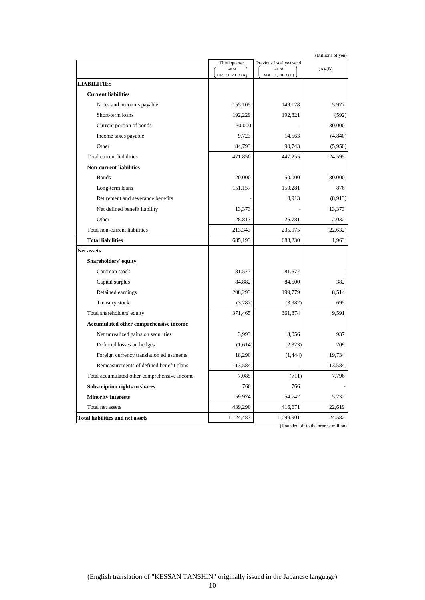| (Millions of yen) |
|-------------------|
|-------------------|

|                                              | Third quarter              | Previous fiscal year-end   |           |
|----------------------------------------------|----------------------------|----------------------------|-----------|
|                                              | As of<br>Dec. 31, 2013 (A) | As of<br>Mar. 31, 2013 (B) | $(A)-(B)$ |
| <b>LIABILITIES</b>                           |                            |                            |           |
| <b>Current liabilities</b>                   |                            |                            |           |
| Notes and accounts payable                   | 155,105                    | 149,128                    | 5,977     |
| Short-term loans                             | 192,229                    | 192,821                    | (592)     |
| Current portion of bonds                     | 30,000                     |                            | 30,000    |
| Income taxes payable                         | 9,723                      | 14,563                     | (4,840)   |
| Other                                        | 84,793                     | 90,743                     | (5,950)   |
| Total current liabilities                    | 471,850                    | 447,255                    | 24,595    |
| <b>Non-current liabilities</b>               |                            |                            |           |
| <b>Bonds</b>                                 | 20,000                     | 50,000                     | (30,000)  |
| Long-term loans                              | 151,157                    | 150,281                    | 876       |
| Retirement and severance benefits            |                            | 8.913                      | (8,913)   |
| Net defined benefit liability                | 13,373                     |                            | 13,373    |
| Other                                        | 28,813                     | 26,781                     | 2,032     |
| Total non-current liabilities                | 213,343                    | 235,975                    | (22, 632) |
| <b>Total liabilities</b>                     | 685,193                    | 683,230                    | 1,963     |
| <b>Net assets</b>                            |                            |                            |           |
| <b>Shareholders' equity</b>                  |                            |                            |           |
| Common stock                                 | 81,577                     | 81,577                     |           |
| Capital surplus                              | 84,882                     | 84,500                     | 382       |
| Retained earnings                            | 208,293                    | 199,779                    | 8,514     |
| Treasury stock                               | (3,287)                    | (3,982)                    | 695       |
| Total shareholders' equity                   | 371,465                    | 361,874                    | 9,591     |
| Accumulated other comprehensive income       |                            |                            |           |
| Net unrealized gains on securities           | 3,993                      | 3,056                      | 937       |
| Deferred losses on hedges                    | (1,614)                    | (2, 323)                   | 709       |
| Foreign currency translation adjustments     | 18,290                     | (1, 444)                   | 19,734    |
| Remeasurements of defined benefit plans      | (13, 584)                  |                            | (13, 584) |
| Total accumulated other comprehensive income | 7,085                      | (711)                      | 7,796     |
| Subscription rights to shares                | 766                        | 766                        |           |
| <b>Minority interests</b>                    | 59,974                     | 54,742                     | 5,232     |
| Total net assets                             | 439,290                    | 416,671                    | 22,619    |
| <b>Total liabilities and net assets</b>      | 1,124,483                  | 1,099,901                  | 24,582    |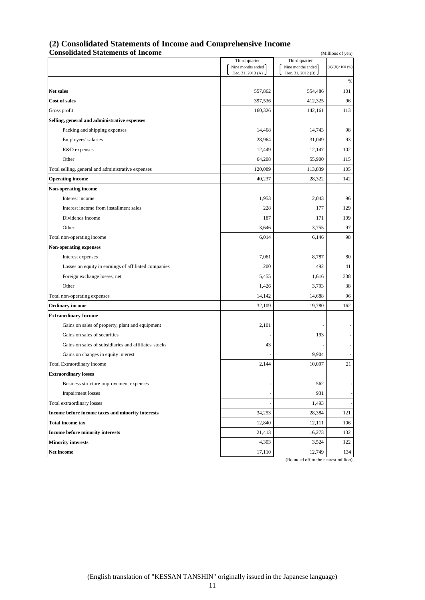#### **(2) Consolidated Statements of Income and Comprehensive Income Consolidated Statements of Income** (Millions of yen) **Consolidated Statements of Income**

|                                                       | Third quarter                          | Third quarter                                  |                        |
|-------------------------------------------------------|----------------------------------------|------------------------------------------------|------------------------|
|                                                       | Nine months ended<br>Dec. 31, 2013 (A) | Nine months ended<br>Dec. 31, 2012 (B)         | $(A)/(B)\times 100(%)$ |
|                                                       |                                        |                                                | $\%$                   |
| <b>Net sales</b>                                      | 557,862                                | 554,486                                        | 101                    |
| <b>Cost of sales</b>                                  | 397,536                                | 412,325                                        | 96                     |
| Gross profit                                          | 160,326                                | 142,161                                        | 113                    |
| Selling, general and administrative expenses          |                                        |                                                |                        |
| Packing and shipping expenses                         | 14,468                                 | 14,743                                         | 98                     |
| Employees' salaries                                   | 28,964                                 | 31,049                                         | 93                     |
| R&D expenses                                          | 12,449                                 | 12,147                                         | 102                    |
| Other                                                 | 64,208                                 | 55,900                                         | 115                    |
| Total selling, general and administrative expenses    | 120,089                                | 113,839                                        | 105                    |
| <b>Operating income</b>                               | 40,237                                 | 28,322                                         | 142                    |
| Non-operating income                                  |                                        |                                                |                        |
| Interest income                                       | 1,953                                  | 2,043                                          | 96                     |
| Interest income from installment sales                | 228                                    | 177                                            | 129                    |
| Dividends income                                      | 187                                    | 171                                            | 109                    |
| Other                                                 | 3,646                                  | 3,755                                          | 97                     |
| Total non-operating income                            | 6,014                                  | 6,146                                          | 98                     |
| <b>Non-operating expenses</b>                         |                                        |                                                |                        |
| Interest expenses                                     | 7,061                                  | 8,787                                          | 80                     |
| Losses on equity in earnings of affiliated companies  | 200                                    | 492                                            | 41                     |
| Foreign exchange losses, net                          | 5,455                                  | 1,616                                          | 338                    |
| Other                                                 | 1,426                                  | 3,793                                          | 38                     |
| Total non-operating expenses                          | 14,142                                 | 14,688                                         | 96                     |
| <b>Ordinary income</b>                                | 32,109                                 | 19,780                                         | 162                    |
| <b>Extraordinary Income</b>                           |                                        |                                                |                        |
| Gains on sales of property, plant and equipment       | 2,101                                  |                                                |                        |
| Gains on sales of securities                          |                                        | 193                                            |                        |
| Gains on sales of subsidiaries and affiliates' stocks | 43                                     |                                                |                        |
| Gains on changes in equity interest                   |                                        | 9,904                                          |                        |
| <b>Total Extraordinary Income</b>                     | 2,144                                  | 10,097                                         | 21                     |
| <b>Extraordinary losses</b>                           |                                        |                                                |                        |
| Business structure improvement expenses               |                                        | 562                                            |                        |
| <b>Impairment</b> losses                              |                                        | 931                                            |                        |
| Total extraordinary losses                            |                                        | 1,493                                          |                        |
| Income before income taxes and minority interests     | 34,253                                 | 28,384                                         | 121                    |
| <b>Total income tax</b>                               | 12,840                                 | 12,111                                         | 106                    |
| Income before minority interests                      | 21,413                                 | 16,273                                         | 132                    |
| <b>Minority interests</b>                             | 4,303                                  | 3,524                                          | 122                    |
| Net income                                            | 17,110                                 | 12,749<br>(Rounded off to the nearest million) | 134                    |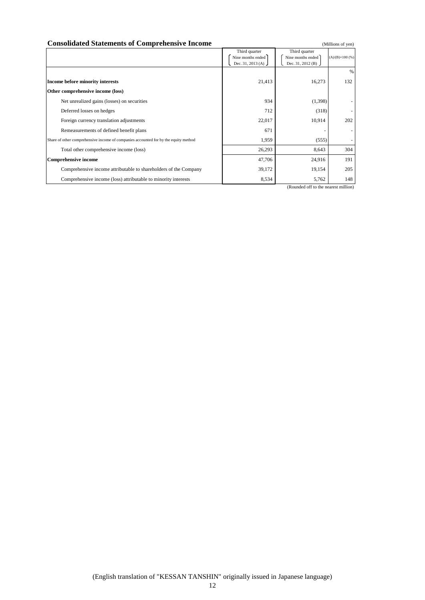#### **Consolidated Statements of Comprehensive Income** (Millions of yen)

|                                                                                     | Third quarter     | Third quarter       |                          |
|-------------------------------------------------------------------------------------|-------------------|---------------------|--------------------------|
|                                                                                     | Nine months ended | Nine months ended   | $(A)/(B)\times 100(%)$   |
|                                                                                     | Dec. 31, 2013 (A) | Dec. 31, 2012 (B) J |                          |
|                                                                                     |                   |                     | %                        |
| Income before minority interests                                                    | 21,413            | 16,273              | 132                      |
| Other comprehensive income (loss)                                                   |                   |                     |                          |
| Net unrealized gains (losses) on securities                                         | 934               | (1, 398)            |                          |
| Deferred losses on hedges                                                           | 712               | (318)               |                          |
| Foreign currency translation adjustments                                            | 22,017            | 10,914              | 202                      |
| Remeasurements of defined benefit plans                                             | 671               |                     | $\overline{\phantom{a}}$ |
| Share of other comprehensive income of companies accounted for by the equity method | 1,959             | (555)               |                          |
| Total other comprehensive income (loss)                                             | 26,293            | 8,643               | 304                      |
| <b>Comprehensive income</b>                                                         | 47,706            | 24,916              | 191                      |
| Comprehensive income attributable to shareholders of the Company                    | 39,172            | 19,154              | 205                      |
| Comprehensive income (loss) attributable to minority interests                      | 8,534             | 5,762               | 148                      |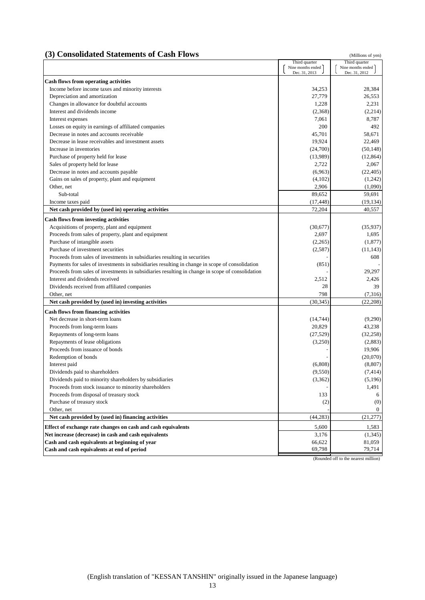#### **(3) Consolidated Statements of Cash Flows** (Millions of yen)

Third quarter<br>
me months ended<br>  $\begin{array}{|c|c|c|c|c|}\n\hline\n\text{Nine months ended} & \text{Nine months ended} \\
\hline\n\end{array}$ Nine months ended  $\left[ \begin{array}{c}$  Nine months end<br>Dec. 31, 2013 Dec. 31, 2013 **Cash flows from operating activities** Income before income taxes and minority interests 34,253 28,384 Depreciation and amortization 26,553 Changes in allowance for doubtful accounts 1,228 2,231 Interest and dividends income (2,214) (2,214) Interest expenses 8,787 Losses on equity in earnings of affiliated companies 200 492 Decrease in notes and accounts receivable 58,671 58,671 58,671 Decrease in lease receivables and investment assets 19,924 22,469 Increase in inventories (24,700) (50,148) Purchase of property held for lease (12,864) (12,864) Sales of property held for lease 2,722 2,067 Decrease in notes and accounts payable (6,963) (22,405) Gains on sales of property, plant and equipment (4,102) (1,242) Other, net 2,906 (1,090) Sub-total 59,652 59,691 Income taxes paid  $(17,448)$  (19,134) (19,134) **Net cash provided by (used in) operating activities** 72,204 40,557 **Cash flows from investing activities** Acquisitions of property, plant and equipment (35,937) (35,937) (35,937) Proceeds from sales of property, plant and equipment 2,697 1,695 Purchase of intangible assets (2,265) (1,877) Purchase of investment securities (2,587) (11,143) Proceeds from sales of investments in subsidiaries resulting in securities **Fig. 2.1 Contained Fig. 2.1 Contained Fig. 2.1 Contained Fig. 2.1 Contained Fig. 2.1 Contained Fig. 2.1 Contained Fig. 2.1 Contained Fig. 2.1 Cont** Payments for sales of investments in subsidiaries resulting in change in scope of consolidation (851) - Proceeds from sales of investments in subsidiaries resulting in change in scope of consolidation - 29,297 Interest and dividends received 2,512 2,426 Dividends received from affiliated companies 28 39 Other, net  $798$  (7,316) **Net cash provided by (used in) investing activities** (30,345) (22,208) **Cash flows from financing activities** Net decrease in short-term loans (14,744) (9,290) Proceeds from long-term loans 20,829 43,238 Repayments of long-term loans (32,258) (32,258) (32,258) Repayments of lease obligations (3,250) (2,883) Proceeds from issuance of bonds 19,906 Redemption of bonds  $\begin{bmatrix} 20,070 \end{bmatrix}$  (20,070) Interest paid (6,808) (8,807) (8,807) Dividends paid to shareholders (9,550) (7,414) Dividends paid to minority shareholders by subsidiaries (3,362) (5,196) Proceeds from stock issuance to minority shareholders and the stock issuance of minority shareholders and the stock issuance to minority shareholders and the stock issuance to minority shareholders and the stock issuance o Proceeds from disposal of treasury stock 133 6 Purchase of treasury stock  $(2)$  (0) Other, net and the contract of the contract of the contract of the contract of the contract of the contract of the contract of the contract of the contract of the contract of the contract of the contract of the contract of **Net cash provided by (used in) financing activities** (44,283) (21,277) **Effect of exchange rate changes on cash and cash equivalents** 5,600 1,583 **Net increase (decrease) in cash and cash equivalents** 3,176 (1,345) **Cash and cash equivalents at beginning of year** 66,622 81,059<br> **Cash and cash equivalents at end of period** 6 and 6 and 6 and 6 and 6 and 6 and 6 and 6 and 6 and 6 and 6 and 6 and 6 and 6 and 6 and 6 and 6 and 6 and 6 and **Cash and cash equivalents at end of period** 69,798 69,798 79,714